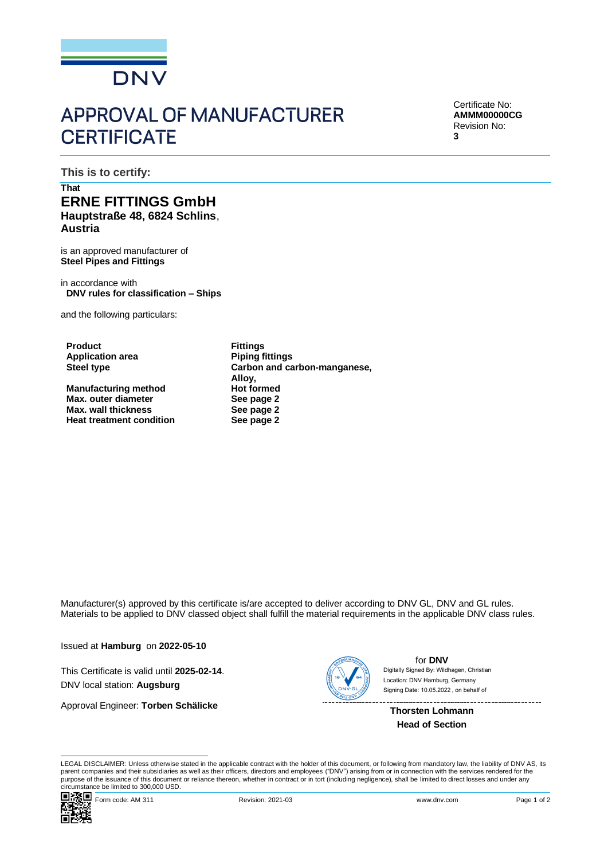

## **APPROVAL OF MANUFACTURER CERTIFICATE**

Certificate No: **AMMM00000CG** Revision No: **3**

**This is to certify:**

## **That ERNE FITTINGS GmbH Hauptstraße 48, 6824 Schlins**, **Austria**

is an approved manufacturer of **Steel Pipes and Fittings**

in accordance with **DNV rules for classification – Ships**

and the following particulars:

**Product Fittings Application area**<br>**Steel type** 

**Manufacturing method Hot formed**<br> **Max.** outer diameter **Hotal See page 2 Max.** outer diameter **Max. wall thickness See page 2**<br> **Propose the Heat treatment condition See page 2 Heat treatment condition** 

**Steel type Carbon and carbon-manganese, Alloy,**

Manufacturer(s) approved by this certificate is/are accepted to deliver according to DNV GL, DNV and GL rules. Materials to be applied to DNV classed object shall fulfill the material requirements in the applicable DNV class rules.

Issued at **Hamburg** on **2022-05-10**

This Certificate is valid until **2025-02-14**. DNV local station: **Augsburg**

Approval Engineer: **Torben Schälicke**



for **DNV** Signing Date: 10.05.2022 , on behalf ofDigitally Signed By: Wildhagen, Christian Location: DNV Hamburg, Germany

**Thorsten Lohmann Head of Section**

LEGAL DISCLAIMER: Unless otherwise stated in the applicable contract with the holder of this document, or following from mandatory law, the liability of DNV AS, its parent companies and their subsidiaries as well as their officers, directors and employees ("DNV") arising from or in connection with the services rendered for the purpose of the issuance of this document or reliance thereon, whether in contract or in tort (including negligence), shall be limited to direct losses and under any circumstance be limited to 300,000 USD.